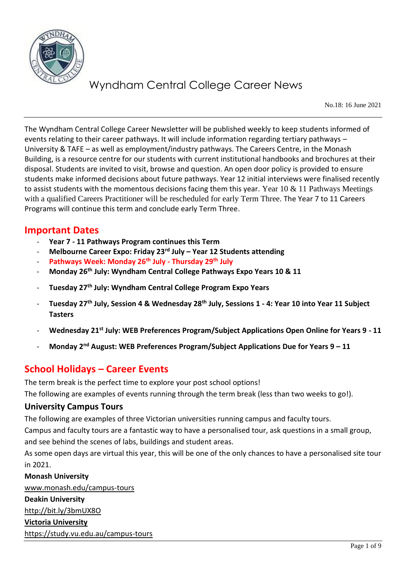

No.18: 16 June 2021

The Wyndham Central College Career Newsletter will be published weekly to keep students informed of events relating to their career pathways. It will include information regarding tertiary pathways – University & TAFE – as well as employment/industry pathways. The Careers Centre, in the Monash Building, is a resource centre for our students with current institutional handbooks and brochures at their disposal. Students are invited to visit, browse and question. An open door policy is provided to ensure students make informed decisions about future pathways. Year 12 initial interviews were finalised recently to assist students with the momentous decisions facing them this year. Year  $10 \& 11$  Pathways Meetings with a qualified Careers Practitioner will be rescheduled for early Term Three. The Year 7 to 11 Careers Programs will continue this term and conclude early Term Three.

## **Important Dates**

- **Year 7 - 11 Pathways Program continues this Term**
- **Melbourne Career Expo: Friday 23rd July – Year 12 Students attending**
- **Pathways Week: Monday 26th July - Thursday 29th July**
- **Monday 26th July: Wyndham Central College Pathways Expo Years 10 & 11**
- **Tuesday 27th July: Wyndham Central College Program Expo Years**
- **Tuesday 27th July, Session 4 & Wednesday 28th July, Sessions 1 - 4: Year 10 into Year 11 Subject Tasters**
- **Wednesday 21st July: WEB Preferences Program/Subject Applications Open Online for Years 9 - 11**
- **Monday 2nd August: WEB Preferences Program/Subject Applications Due for Years 9 – 11**

## **School Holidays – Career Events**

The term break is the perfect time to explore your post school options!

The following are examples of events running through the term break (less than two weeks to go!).

#### **University Campus Tours**

The following are examples of three Victorian universities running campus and faculty tours.

Campus and faculty tours are a fantastic way to have a personalised tour, ask questions in a small group, and see behind the scenes of labs, buildings and student areas.

As some open days are virtual this year, this will be one of the only chances to have a personalised site tour in 2021.

**Monash University** [www.monash.edu/campus-tours](http://www.monash.edu/campus-tours) **Deakin University** <http://bit.ly/3bmUX8O> **Victoria University** <https://study.vu.edu.au/campus-tours>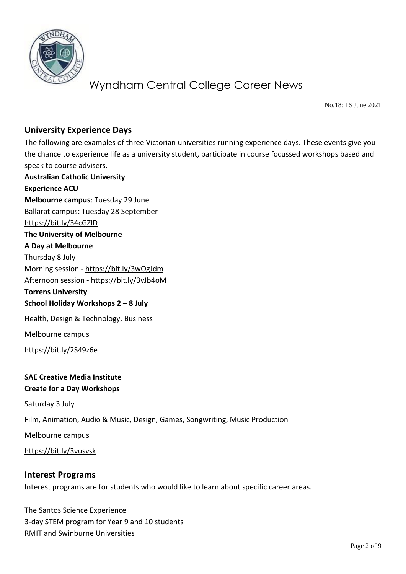

No.18: 16 June 2021

#### **University Experience Days**

The following are examples of three Victorian universities running experience days. These events give you the chance to experience life as a university student, participate in course focussed workshops based and speak to course advisers.

**Australian Catholic University Experience ACU Melbourne campus**: Tuesday 29 June Ballarat campus: Tuesday 28 September <https://bit.ly/34cGZlD> **The University of Melbourne A Day at Melbourne** Thursday 8 July Morning session - <https://bit.ly/3wOgJdm> Afternoon session - <https://bit.ly/3vJb4oM> **Torrens University School Holiday Workshops 2 – 8 July** Health, Design & Technology, Business

Melbourne campus

<https://bit.ly/2S49z6e>

#### **SAE Creative Media Institute Create for a Day Workshops**

Saturday 3 July

Film, Animation, Audio & Music, Design, Games, Songwriting, Music Production

Melbourne campus

<https://bit.ly/3vusvsk>

#### **Interest Programs**

Interest programs are for students who would like to learn about specific career areas.

The Santos Science Experience 3-day STEM program for Year 9 and 10 students RMIT and Swinburne Universities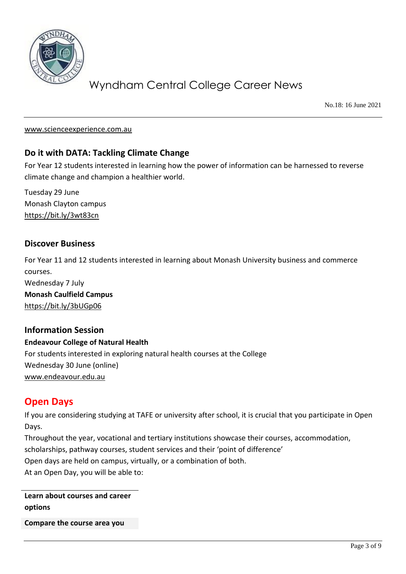

No.18: 16 June 2021

[www.scienceexperience.com.au](http://www.scienceexperience.com.au/)

### **Do it with DATA: Tackling Climate Change**

For Year 12 students interested in learning how the power of information can be harnessed to reverse climate change and champion a healthier world.

Tuesday 29 June Monash Clayton campus <https://bit.ly/3wt83cn>

#### **Discover Business**

For Year 11 and 12 students interested in learning about Monash University business and commerce courses. Wednesday 7 July **Monash Caulfield Campus** <https://bit.ly/3bUGp06>

### **Information Session Endeavour College of Natural Health** For students interested in exploring natural health courses at the College Wednesday 30 June (online) [www.endeavour.edu.au](http://www.endeavour.edu.au/)

## **Open Days**

If you are considering studying at TAFE or university after school, it is crucial that you participate in Open Days.

Throughout the year, vocational and tertiary institutions showcase their courses, accommodation, scholarships, pathway courses, student services and their 'point of difference' Open days are held on campus, virtually, or a combination of both. At an Open Day, you will be able to:

**Learn about courses and career options**

**Compare the course area you**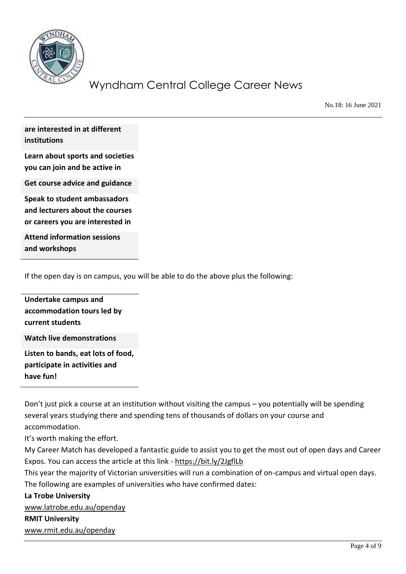

No.18: 16 June 2021

**are interested in at different institutions**

**Learn about sports and societies you can join and be active in**

**Get course advice and guidance**

**Speak to student ambassadors and lecturers about the courses or careers you are interested in**

**Attend information sessions and workshops**

If the open day is on campus, you will be able to do the above plus the following:

**Undertake campus and accommodation tours led by current students Watch live demonstrations**

**Listen to bands, eat lots of food, participate in activities and have fun!**

Don't just pick a course at an institution without visiting the campus – you potentially will be spending several years studying there and spending tens of thousands of dollars on your course and accommodation.

It's worth making the effort.

My Career Match has developed a fantastic guide to assist you to get the most out of open days and Career Expos. You can access the article at this link - <https://bit.ly/2JgflLb>

This year the majority of Victorian universities will run a combination of on-campus and virtual open days. The following are examples of universities who have confirmed dates:

**La Trobe University**

[www.latrobe.edu.au/openday](http://www.latrobe.edu.au/openday)

#### **RMIT University**

[www.rmit.edu.au/openday](http://www.rmit.edu.au/openday)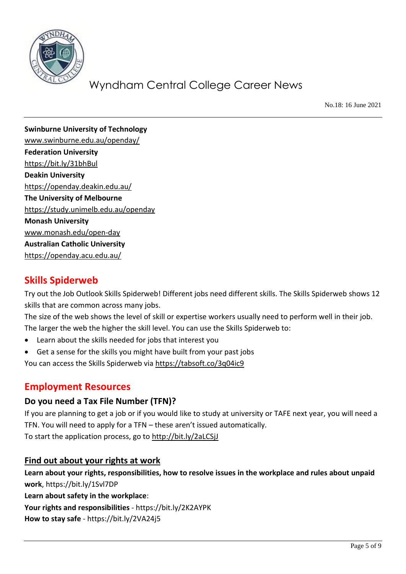

No.18: 16 June 2021

**Swinburne University of Technology** [www.swinburne.edu.au/openday/](http://www.swinburne.edu.au/openday/) **Federation University** <https://bit.ly/31bhBul> **Deakin University** <https://openday.deakin.edu.au/> **The University of Melbourne** <https://study.unimelb.edu.au/openday> **Monash University** [www.monash.edu/open-day](http://www.monash.edu/open-day) **Australian Catholic University** <https://openday.acu.edu.au/>

## **Skills Spiderweb**

Try out the Job Outlook Skills Spiderweb! Different jobs need different skills. The Skills Spiderweb shows 12 skills that are common across many jobs.

The size of the web shows the level of skill or expertise workers usually need to perform well in their job. The larger the web the higher the skill level. You can use the Skills Spiderweb to:

- Learn about the skills needed for jobs that interest you
- Get a sense for the skills you might have built from your past jobs

You can access the Skills Spiderweb via<https://tabsoft.co/3q04ic9>

## **Employment Resources**

#### **Do you need a Tax File Number (TFN)?**

If you are planning to get a job or if you would like to study at university or TAFE next year, you will need a TFN. You will need to apply for a TFN – these aren't issued automatically. To start the application process, go to<http://bit.ly/2aLCSjJ>

#### **Find out about your rights at work**

**Learn about your rights, responsibilities, how to resolve issues in the workplace and rules about unpaid work**,<https://bit.ly/1Svl7DP>

**Learn about safety in the workplace**:

**Your rights and responsibilities** - <https://bit.ly/2K2AYPK>

**How to stay safe** - <https://bit.ly/2VA24j5>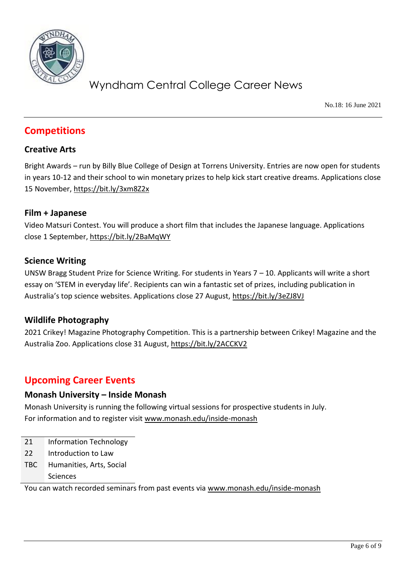

No.18: 16 June 2021

## **Competitions**

### **Creative Arts**

Bright Awards – run by Billy Blue College of Design at Torrens University. Entries are now open for students in years 10-12 and their school to win monetary prizes to help kick start creative dreams. Applications close 15 November,<https://bit.ly/3xm8Z2x>

#### **Film + Japanese**

Video Matsuri Contest. You will produce a short film that includes the Japanese language. Applications close 1 September,<https://bit.ly/2BaMqWY>

#### **Science Writing**

UNSW Bragg Student Prize for Science Writing. For students in Years 7 – 10. Applicants will write a short essay on 'STEM in everyday life'. Recipients can win a fantastic set of prizes, including publication in Australia's top science websites. Applications close 27 August, <https://bit.ly/3eZJ8VJ>

#### **Wildlife Photography**

2021 Crikey! Magazine Photography Competition. This is a partnership between Crikey! Magazine and the Australia Zoo. Applications close 31 August,<https://bit.ly/2ACCKV2>

## **Upcoming Career Events**

#### **Monash University – Inside Monash**

Monash University is running the following virtual sessions for prospective students in July. For information and to register visit [www.monash.edu/inside-monash](http://www.monash.edu/inside-monash)

- 21 Information Technology
- 22 Introduction to Law
- TBC Humanities, Arts, Social Sciences

You can watch recorded seminars from past events via [www.monash.edu/inside-monash](http://www.monash.edu/inside-monash)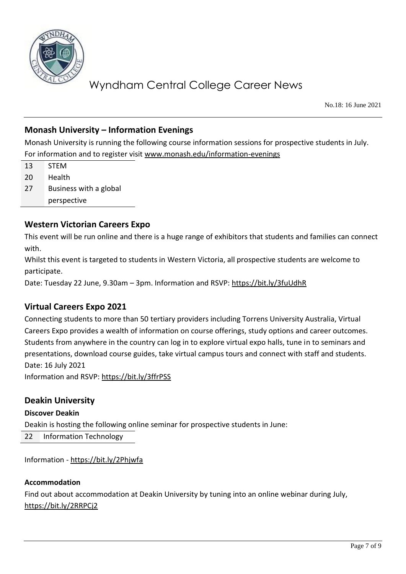

No.18: 16 June 2021

### **Monash University – Information Evenings**

Monash University is running the following course information sessions for prospective students in July. For information and to register visit [www.monash.edu/information-evenings](http://www.monash.edu/information-evenings)

- 13 STEM
- 20 Health
- 27 Business with a global
	- perspective

#### **Western Victorian Careers Expo**

This event will be run online and there is a huge range of exhibitors that students and families can connect with.

Whilst this event is targeted to students in Western Victoria, all prospective students are welcome to participate.

Date: Tuesday 22 June, 9.30am – 3pm. Information and RSVP:<https://bit.ly/3fuUdhR>

### **Virtual Careers Expo 2021**

Connecting students to more than 50 tertiary providers including Torrens University Australia, Virtual Careers Expo provides a wealth of information on course offerings, study options and career outcomes. Students from anywhere in the country can log in to explore virtual expo halls, tune in to seminars and presentations, download course guides, take virtual campus tours and connect with staff and students. Date: 16 July 2021

Information and RSVP:<https://bit.ly/3ffrPSS>

#### **Deakin University**

#### **Discover Deakin**

Deakin is hosting the following online seminar for prospective students in June:

22 Information Technology

Information - <https://bit.ly/2Phjwfa>

#### **Accommodation**

Find out about accommodation at Deakin University by tuning into an online webinar during July, <https://bit.ly/2RRPCj2>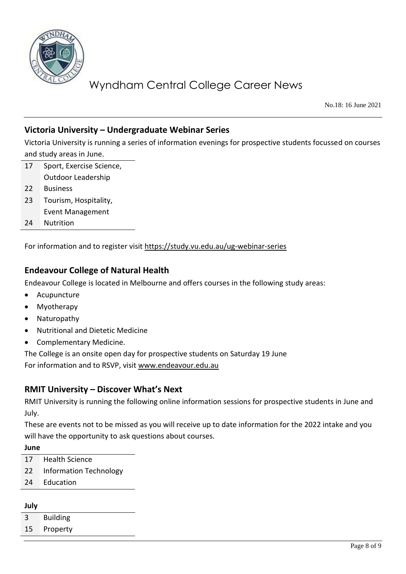

No.18: 16 June 2021

### **Victoria University – Undergraduate Webinar Series**

Victoria University is running a series of information evenings for prospective students focussed on courses and study areas in June.

- 17 Sport, Exercise Science, Outdoor Leadership
- 22 Business
- 23 Tourism, Hospitality, Event Management
- 24 Nutrition

For information and to register visit<https://study.vu.edu.au/ug-webinar-series>

### **Endeavour College of Natural Health**

Endeavour College is located in Melbourne and offers courses in the following study areas:

- **Acupuncture**
- Myotherapy
- Naturopathy
- Nutritional and Dietetic Medicine
- Complementary Medicine.

The College is an onsite open day for prospective students on Saturday 19 June For information and to RSVP, visit [www.endeavour.edu.au](http://www.endeavour.edu.au/)

#### **RMIT University – Discover What's Next**

RMIT University is running the following online information sessions for prospective students in June and July.

These are events not to be missed as you will receive up to date information for the 2022 intake and you will have the opportunity to ask questions about courses.

#### **June**

- 17 Health Science
- 22 Information Technology
- 24 Education

#### **July**

- 3 Building
- 15 Property